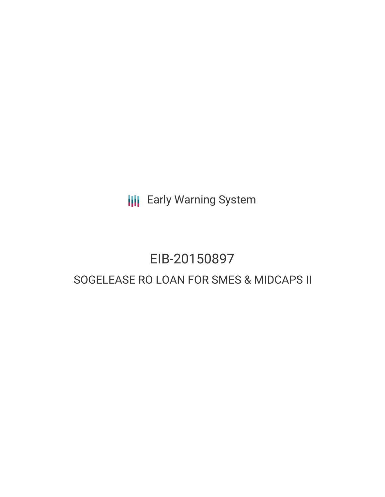**III** Early Warning System

# EIB-20150897 SOGELEASE RO LOAN FOR SMES & MIDCAPS II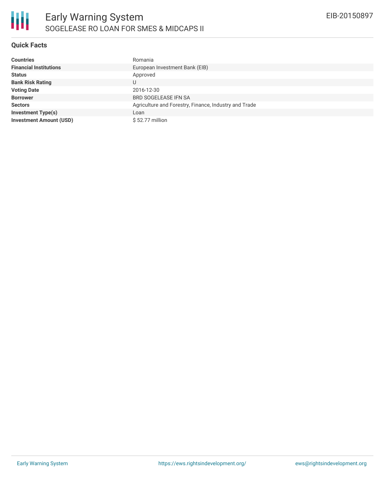

## **Quick Facts**

| <b>Countries</b>               | Romania                                               |
|--------------------------------|-------------------------------------------------------|
| <b>Financial Institutions</b>  | European Investment Bank (EIB)                        |
| <b>Status</b>                  | Approved                                              |
| <b>Bank Risk Rating</b>        | U                                                     |
| <b>Voting Date</b>             | 2016-12-30                                            |
| <b>Borrower</b>                | <b>BRD SOGELEASE IFN SA</b>                           |
| <b>Sectors</b>                 | Agriculture and Forestry, Finance, Industry and Trade |
| <b>Investment Type(s)</b>      | Loan                                                  |
| <b>Investment Amount (USD)</b> | $$52.77$ million                                      |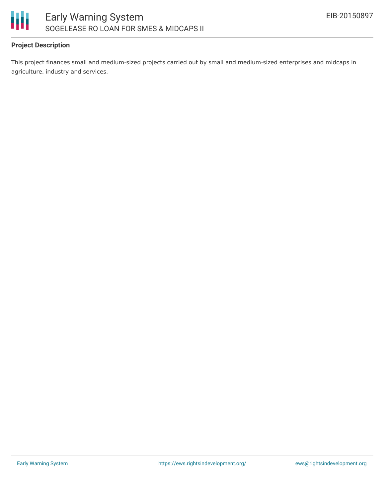

## **Project Description**

This project finances small and medium-sized projects carried out by small and medium-sized enterprises and midcaps in agriculture, industry and services.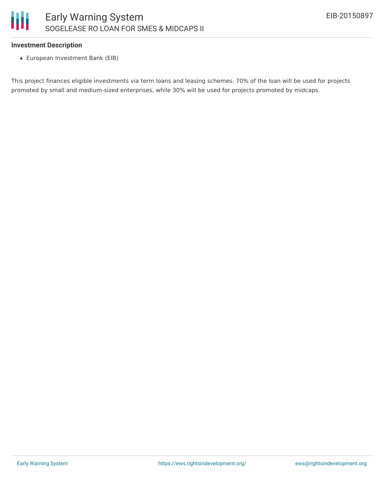

### **Investment Description**

European Investment Bank (EIB)

This project finances eligible investments via term loans and leasing schemes. 70% of the loan will be used for projects promoted by small and medium-sized enterprises, while 30% will be used for projects promoted by midcaps.